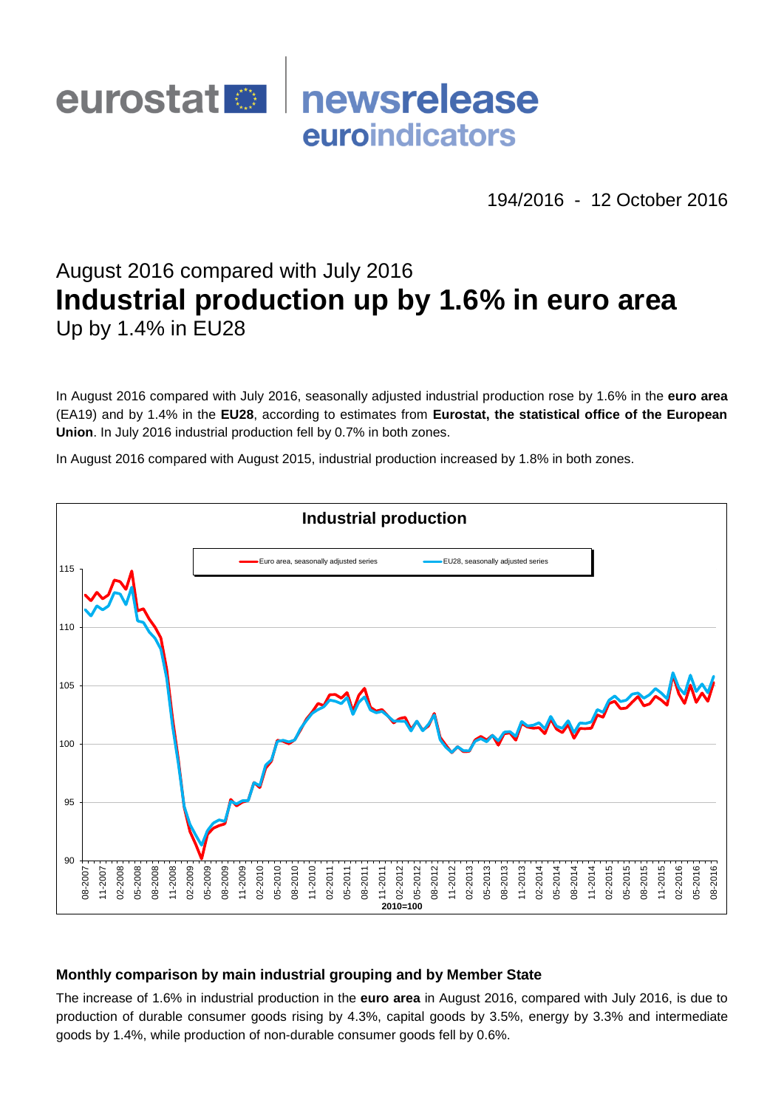

194/2016 - 12 October 2016

# August 2016 compared with July 2016 **Industrial production up by 1.6% in euro area** Up by 1.4% in EU28

In August 2016 compared with July 2016, seasonally adjusted industrial production rose by 1.6% in the **euro area**  (EA19) and by 1.4% in the **EU28**, according to estimates from **Eurostat, the statistical office of the European Union**. In July 2016 industrial production fell by 0.7% in both zones.

In August 2016 compared with August 2015, industrial production increased by 1.8% in both zones.



## **Monthly comparison by main industrial grouping and by Member State**

The increase of 1.6% in industrial production in the **euro area** in August 2016, compared with July 2016, is due to production of durable consumer goods rising by 4.3%, capital goods by 3.5%, energy by 3.3% and intermediate goods by 1.4%, while production of non-durable consumer goods fell by 0.6%.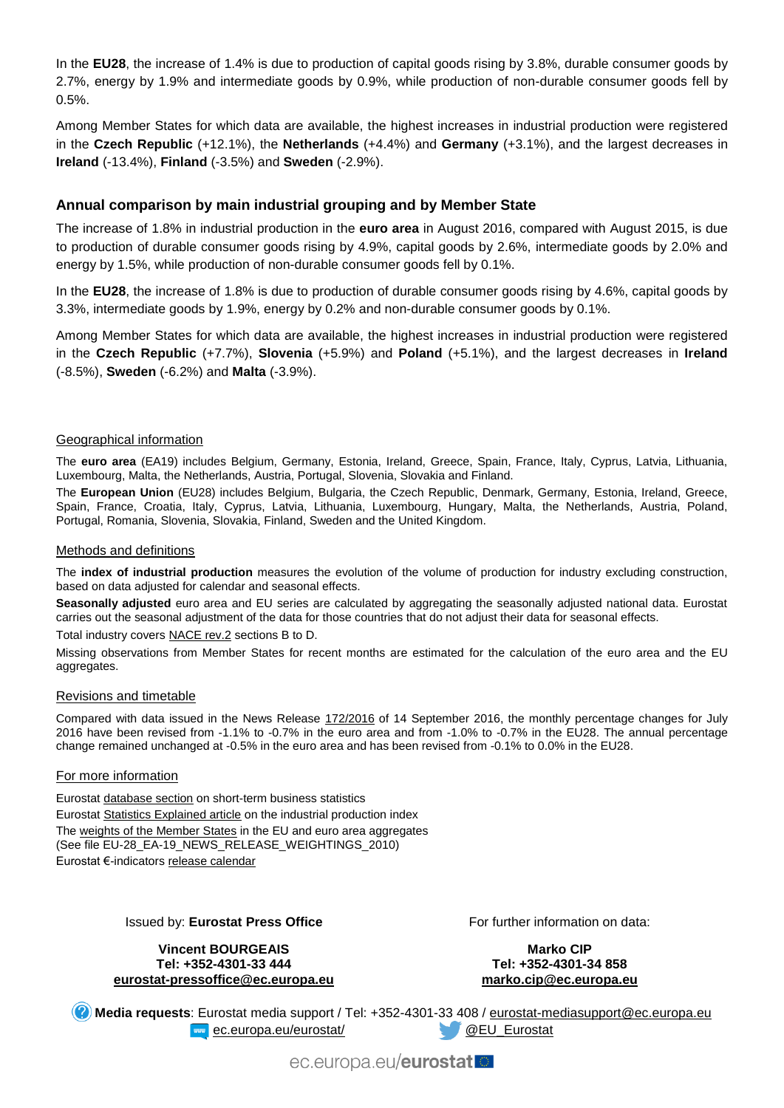In the **EU28**, the increase of 1.4% is due to production of capital goods rising by 3.8%, durable consumer goods by 2.7%, energy by 1.9% and intermediate goods by 0.9%, while production of non-durable consumer goods fell by 0.5%.

Among Member States for which data are available, the highest increases in industrial production were registered in the **Czech Republic** (+12.1%), the **Netherlands** (+4.4%) and **Germany** (+3.1%), and the largest decreases in **Ireland** (-13.4%), **Finland** (-3.5%) and **Sweden** (-2.9%).

## **Annual comparison by main industrial grouping and by Member State**

The increase of 1.8% in industrial production in the **euro area** in August 2016, compared with August 2015, is due to production of durable consumer goods rising by 4.9%, capital goods by 2.6%, intermediate goods by 2.0% and energy by 1.5%, while production of non-durable consumer goods fell by 0.1%.

In the **EU28**, the increase of 1.8% is due to production of durable consumer goods rising by 4.6%, capital goods by 3.3%, intermediate goods by 1.9%, energy by 0.2% and non-durable consumer goods by 0.1%.

Among Member States for which data are available, the highest increases in industrial production were registered in the **Czech Republic** (+7.7%), **Slovenia** (+5.9%) and **Poland** (+5.1%), and the largest decreases in **Ireland** (-8.5%), **Sweden** (-6.2%) and **Malta** (-3.9%).

#### Geographical information

The **euro area** (EA19) includes Belgium, Germany, Estonia, Ireland, Greece, Spain, France, Italy, Cyprus, Latvia, Lithuania, Luxembourg, Malta, the Netherlands, Austria, Portugal, Slovenia, Slovakia and Finland.

The **European Union** (EU28) includes Belgium, Bulgaria, the Czech Republic, Denmark, Germany, Estonia, Ireland, Greece, Spain, France, Croatia, Italy, Cyprus, Latvia, Lithuania, Luxembourg, Hungary, Malta, the Netherlands, Austria, Poland, Portugal, Romania, Slovenia, Slovakia, Finland, Sweden and the United Kingdom.

#### Methods and definitions

The **index of industrial production** measures the evolution of the volume of production for industry excluding construction, based on data adjusted for calendar and seasonal effects.

**Seasonally adjusted** euro area and EU series are calculated by aggregating the seasonally adjusted national data. Eurostat carries out the seasonal adjustment of the data for those countries that do not adjust their data for seasonal effects.

Total industry covers [NACE rev.2](http://ec.europa.eu/eurostat/ramon/nomenclatures/index.cfm?TargetUrl=LST_NOM_DTL&StrNom=NACE_REV2&StrLanguageCode=EN&IntPcKey=&StrLayoutCode=HIERARCHIC) sections B to D.

Missing observations from Member States for recent months are estimated for the calculation of the euro area and the EU aggregates.

#### Revisions and timetable

Compared with data issued in the News Release [172/2016](http://ec.europa.eu/eurostat/documents/2995521/7627740/4-14092016-AP-EN.pdf/ae93ed56-4beb-4866-8658-0587d1016701) of 14 September 2016, the monthly percentage changes for July 2016 have been revised from -1.1% to -0.7% in the euro area and from -1.0% to -0.7% in the EU28. The annual percentage change remained unchanged at -0.5% in the euro area and has been revised from -0.1% to 0.0% in the EU28.

#### For more information

Eurostat [database section](http://ec.europa.eu/eurostat/web/short-term-business-statistics/data/database) on short-term business statistics Eurosta[t Statistics Explained article](http://ec.europa.eu/eurostat/statistics-explained/index.php/Industrial_production_(volume)_index_overview) on the industrial production index Th[e weights of the Member States](https://circabc.europa.eu/w/browse/5e6d1e48-056c-4c6a-8278-3ab138bcf575) in the EU and euro area aggregates (See file EU-28\_EA-19\_NEWS\_RELEASE\_WEIGHTINGS\_2010) Eurostat €-indicator[s release calendar](http://ec.europa.eu/eurostat/news/release-calendar)

#### Issued by: **Eurostat Press Office**

**Vincent BOURGEAIS Tel: +352-4301-33 444 [eurostat-pressoffice@ec.europa.eu](mailto:eurostat-pressoffice@ec.europa.eu)** For further information on data:

**Marko CIP Tel: +352-4301-34 858 [marko.cip@ec.europa.eu](mailto:marko.cip@ec.europa.eu)**

**Media requests**: Eurostat media support / Tel: +352-4301-33 408 / [eurostat-mediasupport@ec.europa.eu](mailto:eurostat-mediasupport@ec.europa.eu) **EXAMPLE EXAMPLE 20 ATT** CONSIDER A CONSIDER A CONSIDERATION OF EUROPE CONSIDERATION OF EUROPE CONSIDERATION OF EUROPE CONSIDERATION OF EUROPE CONSIDERATION OF EUROPE CONSIDERATION OF EUROPE CONSIDERATION OF EUROPE CONSIDE

ec.europa.eu/eurostat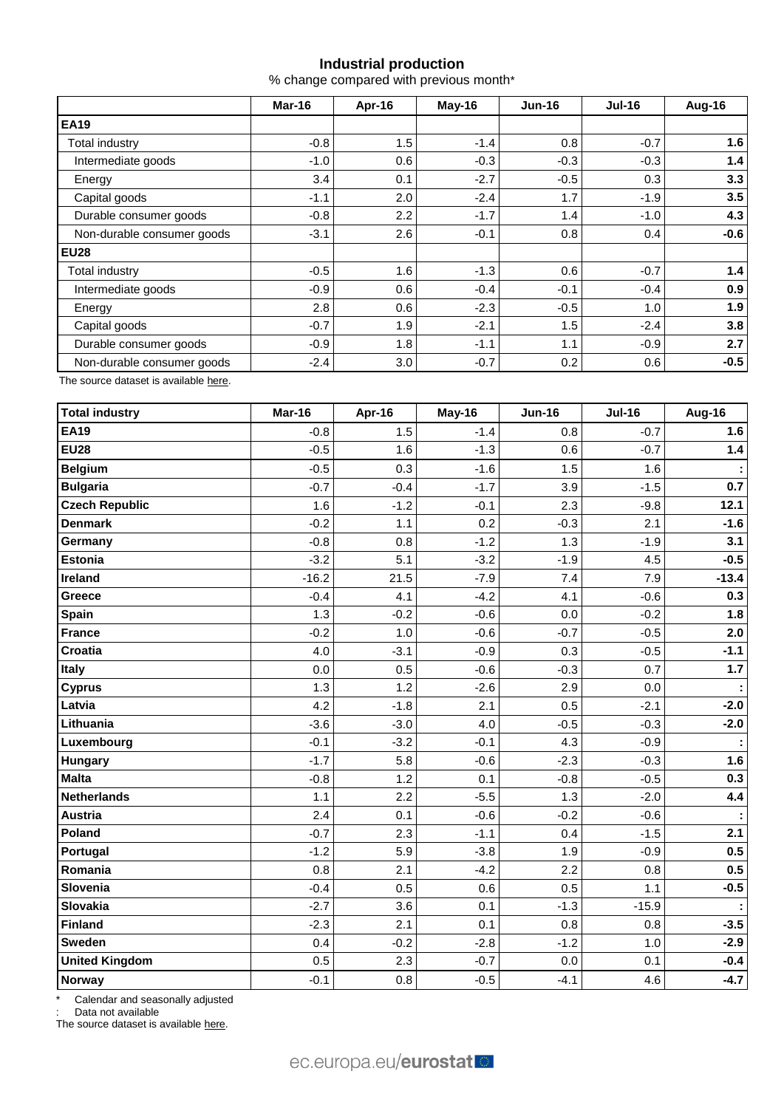# **Industrial production**

% change compared with previous month\*

|                            | Mar-16 | Apr-16 | May-16 | <b>Jun-16</b> | $Jul-16$ | Aug-16 |  |
|----------------------------|--------|--------|--------|---------------|----------|--------|--|
| <b>EA19</b>                |        |        |        |               |          |        |  |
| Total industry             | $-0.8$ | 1.5    | $-1.4$ | 0.8           | $-0.7$   | 1.6    |  |
| Intermediate goods         | $-1.0$ | 0.6    | $-0.3$ | $-0.3$        | $-0.3$   | 1.4    |  |
| Energy                     | 3.4    | 0.1    | $-2.7$ | $-0.5$        | 0.3      | 3.3    |  |
| Capital goods              | $-1.1$ | 2.0    | $-2.4$ | 1.7           | $-1.9$   | 3.5    |  |
| Durable consumer goods     | $-0.8$ | 2.2    | $-1.7$ | 1.4           | $-1.0$   | 4.3    |  |
| Non-durable consumer goods | $-3.1$ | 2.6    | $-0.1$ | 0.8           | 0.4      | $-0.6$ |  |
| <b>EU28</b>                |        |        |        |               |          |        |  |
| <b>Total industry</b>      | $-0.5$ | 1.6    | $-1.3$ | 0.6           | $-0.7$   | 1.4    |  |
| Intermediate goods         | $-0.9$ | 0.6    | $-0.4$ | $-0.1$        | $-0.4$   | 0.9    |  |
| Energy                     | 2.8    | 0.6    | $-2.3$ | $-0.5$        | 1.0      | 1.9    |  |
| Capital goods              | $-0.7$ | 1.9    | $-2.1$ | 1.5           | $-2.4$   | 3.8    |  |
| Durable consumer goods     | $-0.9$ | 1.8    | $-1.1$ | 1.1           | $-0.9$   | 2.7    |  |
| Non-durable consumer goods | $-2.4$ | 3.0    | $-0.7$ | 0.2           | 0.6      | $-0.5$ |  |

The source dataset is availabl[e here.](http://appsso.eurostat.ec.europa.eu/nui/show.do?query=BOOKMARK_DS-069583_QID_-53045BCF_UID_-3F171EB0&layout=TIME,C,X,0;GEO,L,Y,0;NACE_R2,L,Y,1;INDIC_BT,L,Z,0;S_ADJ,L,Z,1;UNIT,L,Z,2;INDICATORS,C,Z,3;&zSelection=DS-069583UNIT,PCH_PRE;DS-069583S_ADJ,SCA;DS-069583INDIC_BT,PROD;DS-069583INDICATORS,OBS_FLAG;&rankName1=UNIT_1_2_-1_2&rankName2=INDIC-BT_1_2_-1_2&rankName3=INDICATORS_1_2_-1_2&rankName4=S-ADJ_1_2_-1_2&rankName5=TIME_1_0_0_0&rankName6=GEO_1_0_0_1&rankName7=NACE-R2_1_2_1_1&sortR=ASC_-1_FIRST&sortC=ASC_-1_FIRST&rStp=&cStp=&rDCh=&cDCh=&rDM=true&cDM=true&footnes=false&empty=false&wai=false&time_mode=ROLLING&time_most_recent=true&lang=EN&cfo=%23%23%23%2C%23%23%23.%23%23%23)

| <b>Total industry</b> | Mar-16  | Apr-16 | May-16 | <b>Jun-16</b> | <b>Jul-16</b> | Aug-16  |
|-----------------------|---------|--------|--------|---------------|---------------|---------|
| <b>EA19</b>           | $-0.8$  | 1.5    | $-1.4$ | 0.8           | $-0.7$        | 1.6     |
| <b>EU28</b>           | $-0.5$  | 1.6    | $-1.3$ | 0.6           | $-0.7$        | $1.4$   |
| <b>Belgium</b>        | $-0.5$  | 0.3    | $-1.6$ | 1.5           | 1.6           |         |
| <b>Bulgaria</b>       | $-0.7$  | $-0.4$ | $-1.7$ | 3.9           | $-1.5$        | 0.7     |
| <b>Czech Republic</b> | 1.6     | $-1.2$ | $-0.1$ | 2.3           | $-9.8$        | 12.1    |
| <b>Denmark</b>        | $-0.2$  | 1.1    | 0.2    | $-0.3$        | 2.1           | $-1.6$  |
| Germany               | $-0.8$  | 0.8    | $-1.2$ | 1.3           | $-1.9$        | 3.1     |
| Estonia               | $-3.2$  | 5.1    | $-3.2$ | $-1.9$        | 4.5           | $-0.5$  |
| Ireland               | $-16.2$ | 21.5   | $-7.9$ | 7.4           | 7.9           | $-13.4$ |
| Greece                | $-0.4$  | 4.1    | $-4.2$ | 4.1           | $-0.6$        | 0.3     |
| Spain                 | 1.3     | $-0.2$ | $-0.6$ | 0.0           | $-0.2$        | 1.8     |
| <b>France</b>         | $-0.2$  | 1.0    | $-0.6$ | $-0.7$        | $-0.5$        | 2.0     |
| Croatia               | 4.0     | $-3.1$ | $-0.9$ | 0.3           | $-0.5$        | $-1.1$  |
| Italy                 | 0.0     | 0.5    | $-0.6$ | $-0.3$        | 0.7           | $1.7$   |
| <b>Cyprus</b>         | 1.3     | 1.2    | $-2.6$ | 2.9           | 0.0           | ÷       |
| Latvia                | 4.2     | $-1.8$ | 2.1    | 0.5           | $-2.1$        | $-2.0$  |
| Lithuania             | $-3.6$  | $-3.0$ | 4.0    | $-0.5$        | $-0.3$        | $-2.0$  |
| Luxembourg            | $-0.1$  | $-3.2$ | $-0.1$ | 4.3           | $-0.9$        |         |
| Hungary               | $-1.7$  | 5.8    | $-0.6$ | $-2.3$        | $-0.3$        | 1.6     |
| <b>Malta</b>          | $-0.8$  | 1.2    | 0.1    | $-0.8$        | $-0.5$        | 0.3     |
| <b>Netherlands</b>    | 1.1     | 2.2    | $-5.5$ | 1.3           | $-2.0$        | 4.4     |
| <b>Austria</b>        | 2.4     | 0.1    | $-0.6$ | $-0.2$        | $-0.6$        |         |
| Poland                | $-0.7$  | 2.3    | $-1.1$ | 0.4           | $-1.5$        | 2.1     |
| Portugal              | $-1.2$  | 5.9    | $-3.8$ | 1.9           | $-0.9$        | 0.5     |
| Romania               | 0.8     | 2.1    | $-4.2$ | 2.2           | 0.8           | 0.5     |
| Slovenia              | $-0.4$  | 0.5    | 0.6    | 0.5           | 1.1           | $-0.5$  |
| <b>Slovakia</b>       | $-2.7$  | 3.6    | 0.1    | $-1.3$        | $-15.9$       |         |
| <b>Finland</b>        | $-2.3$  | 2.1    | 0.1    | 0.8           | 0.8           | $-3.5$  |
| <b>Sweden</b>         | 0.4     | $-0.2$ | $-2.8$ | $-1.2$        | 1.0           | $-2.9$  |
| <b>United Kingdom</b> | 0.5     | 2.3    | $-0.7$ | 0.0           | 0.1           | $-0.4$  |
| Norway                | $-0.1$  | 0.8    | $-0.5$ | $-4.1$        | 4.6           | $-4.7$  |

\* Calendar and seasonally adjusted

Data not available

The source dataset is available [here.](http://appsso.eurostat.ec.europa.eu/nui/show.do?query=BOOKMARK_DS-069583_QID_-3986CD57_UID_-3F171EB0&layout=TIME,C,X,0;GEO,L,Y,0;INDIC_BT,L,Z,0;S_ADJ,L,Z,1;UNIT,L,Z,2;NACE_R2,L,Z,3;INDICATORS,C,Z,4;&zSelection=DS-069583UNIT,PCH_PRE;DS-069583S_ADJ,SCA;DS-069583INDIC_BT,PROD;DS-069583INDICATORS,OBS_FLAG;DS-069583NACE_R2,B-D;&rankName1=UNIT_1_2_-1_2&rankName2=INDIC-BT_1_2_-1_2&rankName3=INDICATORS_1_2_-1_2&rankName4=S-ADJ_1_2_-1_2&rankName5=NACE-R2_1_2_-1_2&rankName6=TIME_1_0_0_0&rankName7=GEO_1_2_0_1&sortC=ASC_-1_FIRST&rStp=&cStp=&rDCh=&cDCh=&rDM=true&cDM=true&footnes=false&empty=false&wai=false&time_mode=ROLLING&time_most_recent=true&lang=EN&cfo=%23%23%23%2C%23%23%23.%23%23%23)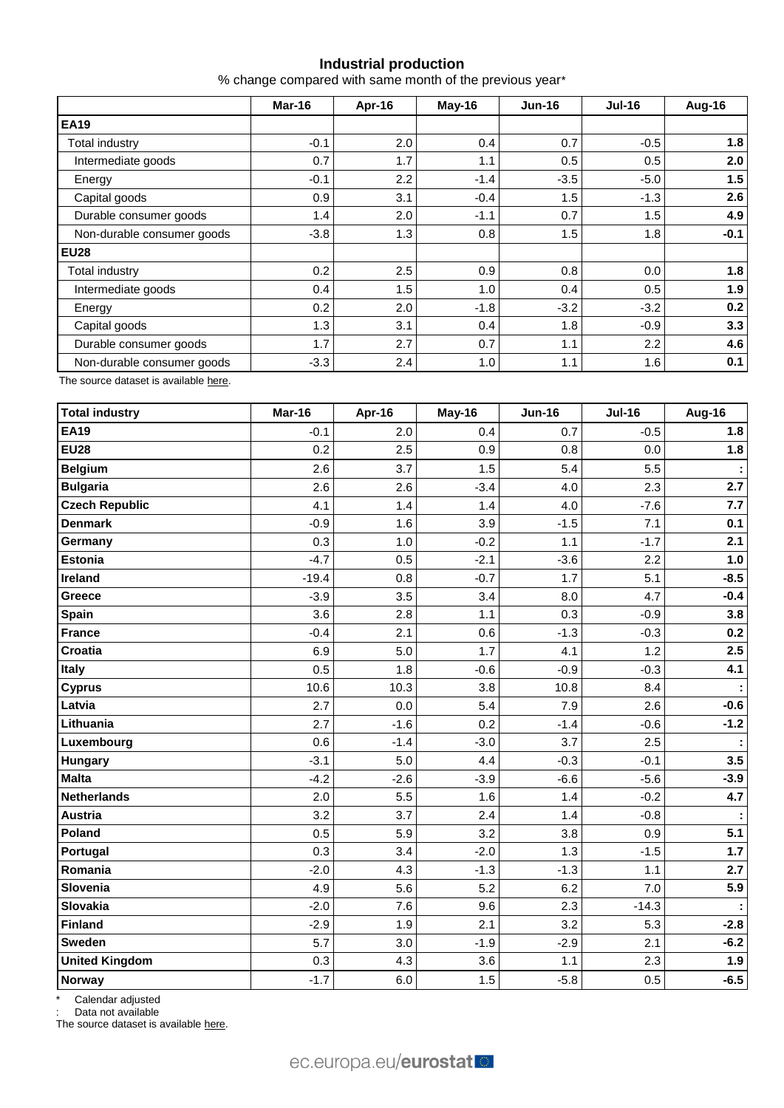## **Industrial production**

% change compared with same month of the previous year\*

|                            | Mar-16 | Apr-16 | May-16 | <b>Jun-16</b> | <b>Jul-16</b> | Aug-16 |  |
|----------------------------|--------|--------|--------|---------------|---------------|--------|--|
| <b>EA19</b>                |        |        |        |               |               |        |  |
| Total industry             | $-0.1$ | 2.0    | 0.4    | 0.7           | $-0.5$        | 1.8    |  |
| Intermediate goods         | 0.7    | 1.7    | 1.1    | 0.5           | 0.5           | 2.0    |  |
| Energy                     | $-0.1$ | 2.2    | $-1.4$ | $-3.5$        | $-5.0$        | 1.5    |  |
| Capital goods              | 0.9    | 3.1    | $-0.4$ | 1.5           | $-1.3$        | 2.6    |  |
| Durable consumer goods     | 1.4    | 2.0    | $-1.1$ | 0.7           | 1.5           | 4.9    |  |
| Non-durable consumer goods | $-3.8$ | 1.3    | 0.8    | 1.5           | 1.8           | $-0.1$ |  |
| <b>EU28</b>                |        |        |        |               |               |        |  |
| Total industry             | 0.2    | 2.5    | 0.9    | 0.8           | 0.0           | 1.8    |  |
| Intermediate goods         | 0.4    | 1.5    | 1.0    | 0.4           | 0.5           | 1.9    |  |
| Energy                     | 0.2    | 2.0    | $-1.8$ | $-3.2$        | $-3.2$        | 0.2    |  |
| Capital goods              | 1.3    | 3.1    | 0.4    | 1.8           | $-0.9$        | 3.3    |  |
| Durable consumer goods     | 1.7    | 2.7    | 0.7    | 1.1           | 2.2           | 4.6    |  |
| Non-durable consumer goods | $-3.3$ | 2.4    | 1.0    | 1.1           | 1.6           | 0.1    |  |

The source dataset is availabl[e here.](http://appsso.eurostat.ec.europa.eu/nui/show.do?query=BOOKMARK_DS-069583_QID_-628F3FF0_UID_-3F171EB0&layout=TIME,C,X,0;GEO,L,Y,0;NACE_R2,L,Y,1;INDIC_BT,L,Z,0;S_ADJ,L,Z,1;UNIT,L,Z,2;INDICATORS,C,Z,3;&zSelection=DS-069583UNIT,PCH_PRE;DS-069583S_ADJ,SCA;DS-069583INDIC_BT,PROD;DS-069583INDICATORS,OBS_FLAG;&rankName1=UNIT_1_2_-1_2&rankName2=INDIC-BT_1_2_-1_2&rankName3=INDICATORS_1_2_-1_2&rankName4=S-ADJ_1_2_-1_2&rankName5=TIME_1_0_0_0&rankName6=GEO_1_0_0_1&rankName7=NACE-R2_1_2_1_1&sortR=ASC_-1_FIRST&sortC=ASC_-1_FIRST&rStp=&cStp=&rDCh=&cDCh=&rDM=true&cDM=true&footnes=false&empty=false&wai=false&time_mode=ROLLING&time_most_recent=true&lang=EN&cfo=%23%23%23%2C%23%23%23.%23%23%23)

| <b>Total industry</b> | Mar-16  | Apr-16 | May-16 | <b>Jun-16</b> | <b>Jul-16</b> | Aug-16 |
|-----------------------|---------|--------|--------|---------------|---------------|--------|
| <b>EA19</b>           | $-0.1$  | 2.0    | 0.4    | 0.7           | $-0.5$        | 1.8    |
| <b>EU28</b>           | 0.2     | 2.5    | 0.9    | 0.8           | 0.0           | 1.8    |
| <b>Belgium</b>        | 2.6     | 3.7    | 1.5    | 5.4           | 5.5           |        |
| <b>Bulgaria</b>       | 2.6     | 2.6    | $-3.4$ | 4.0           | 2.3           | 2.7    |
| <b>Czech Republic</b> | 4.1     | 1.4    | 1.4    | 4.0           | $-7.6$        | 7.7    |
| <b>Denmark</b>        | $-0.9$  | 1.6    | 3.9    | $-1.5$        | 7.1           | 0.1    |
| Germany               | 0.3     | 1.0    | $-0.2$ | 1.1           | $-1.7$        | 2.1    |
| <b>Estonia</b>        | $-4.7$  | 0.5    | $-2.1$ | $-3.6$        | 2.2           | 1.0    |
| Ireland               | $-19.4$ | 0.8    | $-0.7$ | 1.7           | 5.1           | $-8.5$ |
| Greece                | $-3.9$  | 3.5    | 3.4    | 8.0           | 4.7           | $-0.4$ |
| <b>Spain</b>          | 3.6     | 2.8    | 1.1    | 0.3           | $-0.9$        | 3.8    |
| <b>France</b>         | $-0.4$  | 2.1    | 0.6    | $-1.3$        | $-0.3$        | 0.2    |
| Croatia               | 6.9     | 5.0    | 1.7    | 4.1           | 1.2           | 2.5    |
| Italy                 | 0.5     | 1.8    | $-0.6$ | $-0.9$        | $-0.3$        | 4.1    |
| <b>Cyprus</b>         | 10.6    | 10.3   | 3.8    | 10.8          | 8.4           | ÷      |
| Latvia                | 2.7     | 0.0    | 5.4    | 7.9           | 2.6           | $-0.6$ |
| Lithuania             | 2.7     | $-1.6$ | 0.2    | $-1.4$        | $-0.6$        | $-1.2$ |
| Luxembourg            | 0.6     | $-1.4$ | $-3.0$ | 3.7           | 2.5           |        |
| Hungary               | $-3.1$  | 5.0    | 4.4    | $-0.3$        | $-0.1$        | 3.5    |
| <b>Malta</b>          | $-4.2$  | $-2.6$ | $-3.9$ | $-6.6$        | $-5.6$        | $-3.9$ |
| <b>Netherlands</b>    | 2.0     | 5.5    | 1.6    | 1.4           | $-0.2$        | 4.7    |
| Austria               | 3.2     | 3.7    | 2.4    | 1.4           | $-0.8$        |        |
| Poland                | 0.5     | 5.9    | 3.2    | 3.8           | 0.9           | 5.1    |
| Portugal              | 0.3     | 3.4    | $-2.0$ | 1.3           | $-1.5$        | $1.7$  |
| Romania               | $-2.0$  | 4.3    | $-1.3$ | $-1.3$        | 1.1           | 2.7    |
| Slovenia              | 4.9     | 5.6    | 5.2    | 6.2           | 7.0           | 5.9    |
| Slovakia              | $-2.0$  | 7.6    | 9.6    | 2.3           | $-14.3$       |        |
| <b>Finland</b>        | $-2.9$  | 1.9    | 2.1    | 3.2           | 5.3           | $-2.8$ |
| <b>Sweden</b>         | 5.7     | 3.0    | $-1.9$ | $-2.9$        | 2.1           | $-6.2$ |
| <b>United Kingdom</b> | 0.3     | 4.3    | 3.6    | 1.1           | 2.3           | 1.9    |
| Norway                | $-1.7$  | 6.0    | 1.5    | $-5.8$        | 0.5           | $-6.5$ |

Calendar adjusted

: Data not available

The source dataset is available [here.](http://appsso.eurostat.ec.europa.eu/nui/show.do?query=BOOKMARK_DS-069583_QID_690FAA53_UID_-3F171EB0&layout=TIME,C,X,0;GEO,L,Y,0;NACE_R2,L,Y,1;INDIC_BT,L,Z,0;S_ADJ,L,Z,1;UNIT,L,Z,2;INDICATORS,C,Z,3;&zSelection=DS-069583UNIT,PCH_SM;DS-069583S_ADJ,CA;DS-069583INDIC_BT,PROD;DS-069583INDICATORS,OBS_FLAG;&rankName1=UNIT_1_2_-1_2&rankName2=INDIC-BT_1_2_-1_2&rankName3=INDICATORS_1_2_-1_2&rankName4=S-ADJ_1_2_-1_2&rankName5=TIME_1_0_0_0&rankName6=GEO_1_2_0_1&rankName7=NACE-R2_1_2_1_1&sortC=ASC_-1_FIRST&rStp=&cStp=&rDCh=&cDCh=&rDM=true&cDM=true&footnes=false&empty=false&wai=false&time_mode=ROLLING&time_most_recent=true&lang=EN&cfo=%23%23%23%2C%23%23%23.%23%23%23)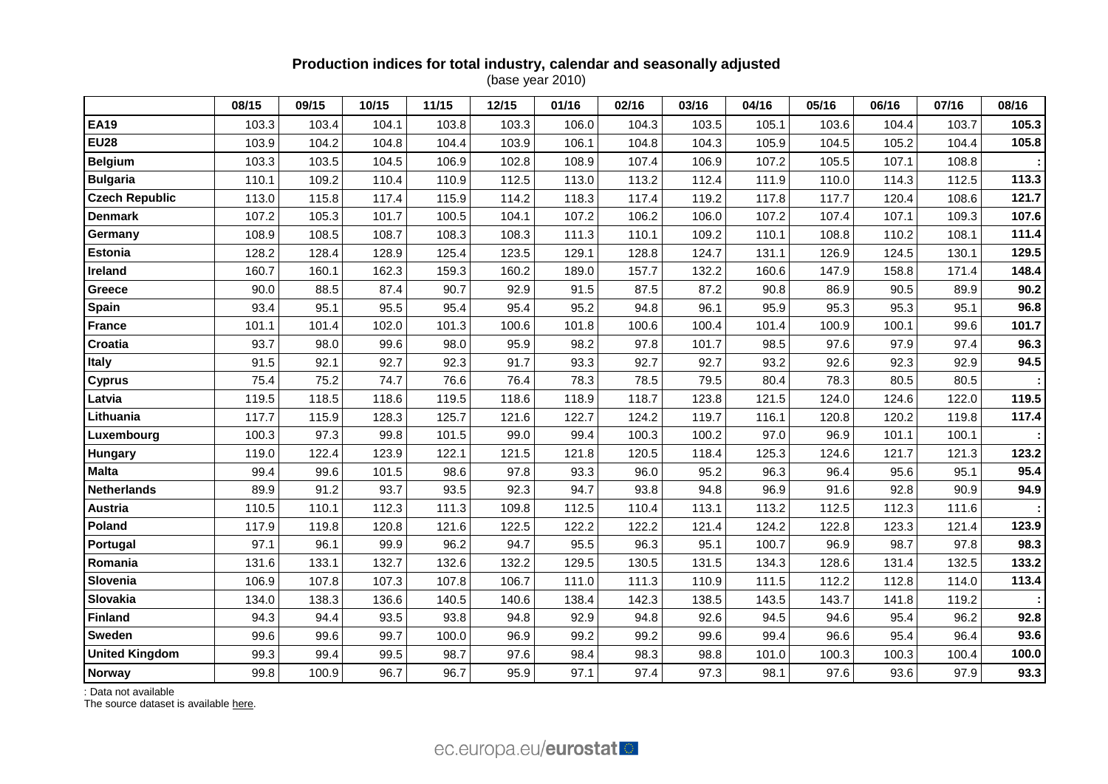### **Production indices for total industry, calendar and seasonally adjusted** (base year 2010)

|                       | 08/15 | 09/15 | 10/15 | 11/15 | 12/15 | 01/16 | 02/16 | 03/16 | 04/16 | 05/16 | 06/16 | 07/16 | 08/16 |
|-----------------------|-------|-------|-------|-------|-------|-------|-------|-------|-------|-------|-------|-------|-------|
| <b>EA19</b>           | 103.3 | 103.4 | 104.1 | 103.8 | 103.3 | 106.0 | 104.3 | 103.5 | 105.1 | 103.6 | 104.4 | 103.7 | 105.3 |
| <b>EU28</b>           | 103.9 | 104.2 | 104.8 | 104.4 | 103.9 | 106.1 | 104.8 | 104.3 | 105.9 | 104.5 | 105.2 | 104.4 | 105.8 |
| <b>Belgium</b>        | 103.3 | 103.5 | 104.5 | 106.9 | 102.8 | 108.9 | 107.4 | 106.9 | 107.2 | 105.5 | 107.1 | 108.8 |       |
| <b>Bulgaria</b>       | 110.1 | 109.2 | 110.4 | 110.9 | 112.5 | 113.0 | 113.2 | 112.4 | 111.9 | 110.0 | 114.3 | 112.5 | 113.3 |
| <b>Czech Republic</b> | 113.0 | 115.8 | 117.4 | 115.9 | 114.2 | 118.3 | 117.4 | 119.2 | 117.8 | 117.7 | 120.4 | 108.6 | 121.7 |
| <b>Denmark</b>        | 107.2 | 105.3 | 101.7 | 100.5 | 104.1 | 107.2 | 106.2 | 106.0 | 107.2 | 107.4 | 107.1 | 109.3 | 107.6 |
| Germany               | 108.9 | 108.5 | 108.7 | 108.3 | 108.3 | 111.3 | 110.1 | 109.2 | 110.1 | 108.8 | 110.2 | 108.1 | 111.4 |
| Estonia               | 128.2 | 128.4 | 128.9 | 125.4 | 123.5 | 129.1 | 128.8 | 124.7 | 131.1 | 126.9 | 124.5 | 130.1 | 129.5 |
| <b>Ireland</b>        | 160.7 | 160.1 | 162.3 | 159.3 | 160.2 | 189.0 | 157.7 | 132.2 | 160.6 | 147.9 | 158.8 | 171.4 | 148.4 |
| Greece                | 90.0  | 88.5  | 87.4  | 90.7  | 92.9  | 91.5  | 87.5  | 87.2  | 90.8  | 86.9  | 90.5  | 89.9  | 90.2  |
| Spain                 | 93.4  | 95.1  | 95.5  | 95.4  | 95.4  | 95.2  | 94.8  | 96.1  | 95.9  | 95.3  | 95.3  | 95.1  | 96.8  |
| <b>France</b>         | 101.1 | 101.4 | 102.0 | 101.3 | 100.6 | 101.8 | 100.6 | 100.4 | 101.4 | 100.9 | 100.1 | 99.6  | 101.7 |
| Croatia               | 93.7  | 98.0  | 99.6  | 98.0  | 95.9  | 98.2  | 97.8  | 101.7 | 98.5  | 97.6  | 97.9  | 97.4  | 96.3  |
| <b>Italy</b>          | 91.5  | 92.1  | 92.7  | 92.3  | 91.7  | 93.3  | 92.7  | 92.7  | 93.2  | 92.6  | 92.3  | 92.9  | 94.5  |
| <b>Cyprus</b>         | 75.4  | 75.2  | 74.7  | 76.6  | 76.4  | 78.3  | 78.5  | 79.5  | 80.4  | 78.3  | 80.5  | 80.5  |       |
| Latvia                | 119.5 | 118.5 | 118.6 | 119.5 | 118.6 | 118.9 | 118.7 | 123.8 | 121.5 | 124.0 | 124.6 | 122.0 | 119.5 |
| Lithuania             | 117.7 | 115.9 | 128.3 | 125.7 | 121.6 | 122.7 | 124.2 | 119.7 | 116.1 | 120.8 | 120.2 | 119.8 | 117.4 |
| Luxembourg            | 100.3 | 97.3  | 99.8  | 101.5 | 99.0  | 99.4  | 100.3 | 100.2 | 97.0  | 96.9  | 101.1 | 100.1 |       |
| Hungary               | 119.0 | 122.4 | 123.9 | 122.1 | 121.5 | 121.8 | 120.5 | 118.4 | 125.3 | 124.6 | 121.7 | 121.3 | 123.2 |
| <b>Malta</b>          | 99.4  | 99.6  | 101.5 | 98.6  | 97.8  | 93.3  | 96.0  | 95.2  | 96.3  | 96.4  | 95.6  | 95.1  | 95.4  |
| <b>Netherlands</b>    | 89.9  | 91.2  | 93.7  | 93.5  | 92.3  | 94.7  | 93.8  | 94.8  | 96.9  | 91.6  | 92.8  | 90.9  | 94.9  |
| <b>Austria</b>        | 110.5 | 110.1 | 112.3 | 111.3 | 109.8 | 112.5 | 110.4 | 113.1 | 113.2 | 112.5 | 112.3 | 111.6 |       |
| Poland                | 117.9 | 119.8 | 120.8 | 121.6 | 122.5 | 122.2 | 122.2 | 121.4 | 124.2 | 122.8 | 123.3 | 121.4 | 123.9 |
| Portugal              | 97.1  | 96.1  | 99.9  | 96.2  | 94.7  | 95.5  | 96.3  | 95.1  | 100.7 | 96.9  | 98.7  | 97.8  | 98.3  |
| Romania               | 131.6 | 133.1 | 132.7 | 132.6 | 132.2 | 129.5 | 130.5 | 131.5 | 134.3 | 128.6 | 131.4 | 132.5 | 133.2 |
| Slovenia              | 106.9 | 107.8 | 107.3 | 107.8 | 106.7 | 111.0 | 111.3 | 110.9 | 111.5 | 112.2 | 112.8 | 114.0 | 113.4 |
| Slovakia              | 134.0 | 138.3 | 136.6 | 140.5 | 140.6 | 138.4 | 142.3 | 138.5 | 143.5 | 143.7 | 141.8 | 119.2 |       |
| <b>Finland</b>        | 94.3  | 94.4  | 93.5  | 93.8  | 94.8  | 92.9  | 94.8  | 92.6  | 94.5  | 94.6  | 95.4  | 96.2  | 92.8  |
| <b>Sweden</b>         | 99.6  | 99.6  | 99.7  | 100.0 | 96.9  | 99.2  | 99.2  | 99.6  | 99.4  | 96.6  | 95.4  | 96.4  | 93.6  |
| <b>United Kingdom</b> | 99.3  | 99.4  | 99.5  | 98.7  | 97.6  | 98.4  | 98.3  | 98.8  | 101.0 | 100.3 | 100.3 | 100.4 | 100.0 |
| <b>Norway</b>         | 99.8  | 100.9 | 96.7  | 96.7  | 95.9  | 97.1  | 97.4  | 97.3  | 98.1  | 97.6  | 93.6  | 97.9  | 93.3  |

: Data not available

The source dataset is availabl[e here.](http://appsso.eurostat.ec.europa.eu/nui/show.do?query=BOOKMARK_DS-069583_QID_24071044_UID_-3F171EB0&layout=TIME,C,X,0;GEO,L,Y,0;INDIC_BT,L,Z,0;S_ADJ,L,Z,1;UNIT,L,Z,2;NACE_R2,L,Z,3;INDICATORS,C,Z,4;&zSelection=DS-069583UNIT,I10;DS-069583S_ADJ,SCA;DS-069583INDIC_BT,PROD;DS-069583INDICATORS,OBS_FLAG;DS-069583NACE_R2,B-D;&rankName1=UNIT_1_2_-1_2&rankName2=INDIC-BT_1_2_-1_2&rankName3=INDICATORS_1_2_-1_2&rankName4=S-ADJ_1_2_-1_2&rankName5=NACE-R2_1_2_1_1&rankName6=TIME_1_0_0_0&rankName7=GEO_1_2_0_1&sortC=ASC_-1_FIRST&rStp=&cStp=&rDCh=&cDCh=&rDM=true&cDM=true&footnes=false&empty=false&wai=false&time_mode=ROLLING&time_most_recent=true&lang=EN&cfo=%23%23%23%2C%23%23%23.%23%23%23)